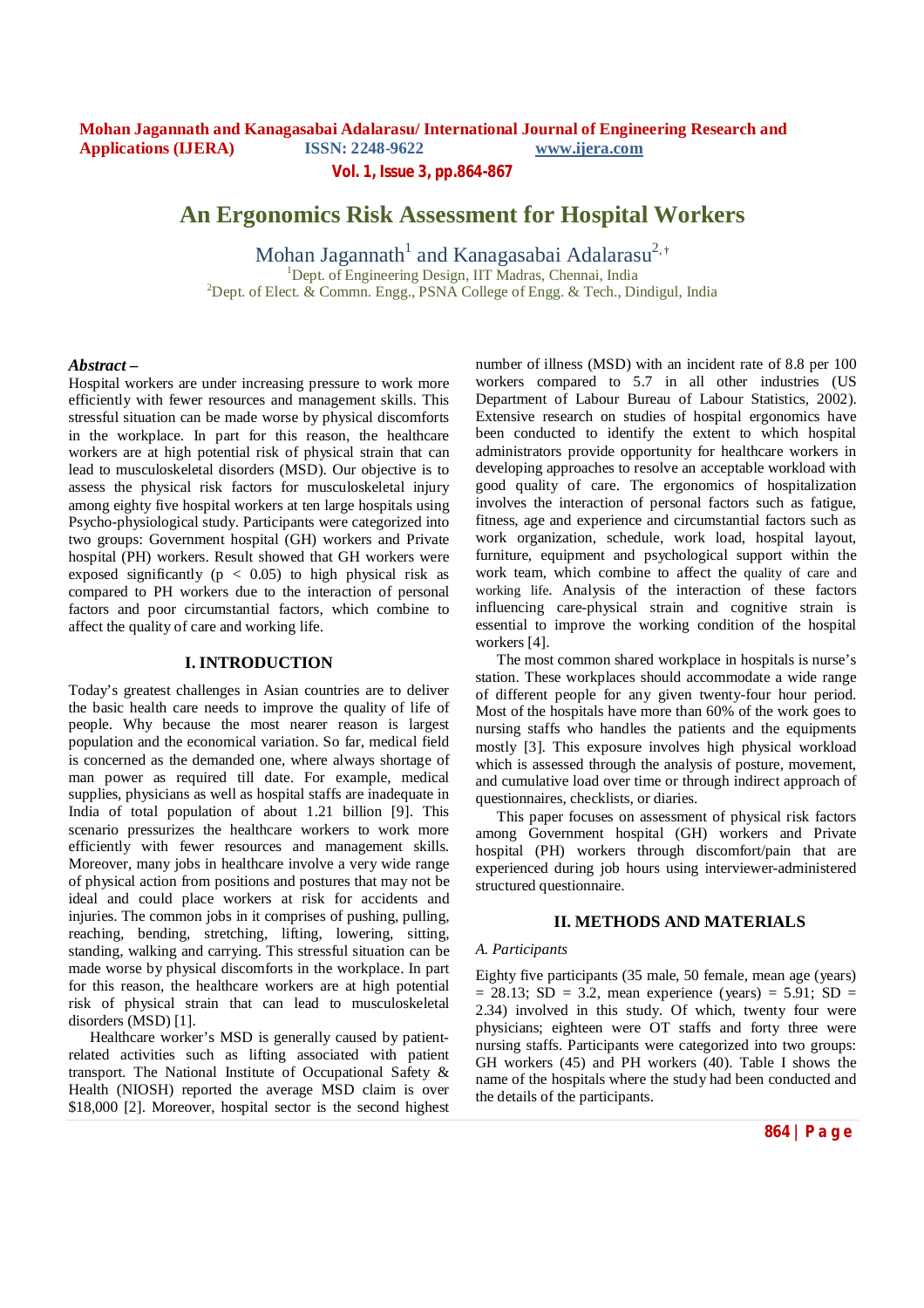**Vol. 1, Issue 3, pp.864-867**

# **An Ergonomics Risk Assessment for Hospital Workers**

Mohan Jagannath<sup>1</sup> and Kanagasabai Adalarasu<sup>2,†</sup> <sup>1</sup>Dept. of Engineering Design, IIT Madras, Chennai, India <sup>2</sup>Dept. of Elect. & Commn. Engg., PSNA College of Engg. & Tech., Dindigul, India

### *Abstract* **–**

Hospital workers are under increasing pressure to work more efficiently with fewer resources and management skills. This stressful situation can be made worse by physical discomforts in the workplace. In part for this reason, the healthcare workers are at high potential risk of physical strain that can lead to musculoskeletal disorders (MSD). Our objective is to assess the physical risk factors for musculoskeletal injury among eighty five hospital workers at ten large hospitals using Psycho-physiological study. Participants were categorized into two groups: Government hospital (GH) workers and Private hospital (PH) workers. Result showed that GH workers were exposed significantly ( $p < 0.05$ ) to high physical risk as compared to PH workers due to the interaction of personal factors and poor circumstantial factors, which combine to affect the quality of care and working life.

#### **I. INTRODUCTION**

Today's greatest challenges in Asian countries are to deliver the basic health care needs to improve the quality of life of people. Why because the most nearer reason is largest population and the economical variation. So far, medical field is concerned as the demanded one, where always shortage of man power as required till date. For example, medical supplies, physicians as well as hospital staffs are inadequate in India of total population of about 1.21 billion [9]. This scenario pressurizes the healthcare workers to work more efficiently with fewer resources and management skills. Moreover, many jobs in healthcare involve a very wide range of physical action from positions and postures that may not be ideal and could place workers at risk for accidents and injuries. The common jobs in it comprises of pushing, pulling, reaching, bending, stretching, lifting, lowering, sitting, standing, walking and carrying. This stressful situation can be made worse by physical discomforts in the workplace. In part for this reason, the healthcare workers are at high potential risk of physical strain that can lead to musculoskeletal disorders (MSD) [1].

Healthcare worker's MSD is generally caused by patientrelated activities such as lifting associated with patient transport. The National Institute of Occupational Safety & Health (NIOSH) reported the average MSD claim is over \$18,000 [2]. Moreover, hospital sector is the second highest number of illness (MSD) with an incident rate of 8.8 per 100 workers compared to 5.7 in all other industries (US Department of Labour Bureau of Labour Statistics, 2002). Extensive research on studies of hospital ergonomics have been conducted to identify the extent to which hospital administrators provide opportunity for healthcare workers in developing approaches to resolve an acceptable workload with good quality of care. The ergonomics of hospitalization involves the interaction of personal factors such as fatigue, fitness, age and experience and circumstantial factors such as work organization, schedule, work load, hospital layout, furniture, equipment and psychological support within the work team, which combine to affect the quality of care and working life. Analysis of the interaction of these factors influencing care-physical strain and cognitive strain is essential to improve the working condition of the hospital workers [4].

The most common shared workplace in hospitals is nurse's station. These workplaces should accommodate a wide range of different people for any given twenty-four hour period. Most of the hospitals have more than 60% of the work goes to nursing staffs who handles the patients and the equipments mostly [3]. This exposure involves high physical workload which is assessed through the analysis of posture, movement, and cumulative load over time or through indirect approach of questionnaires, checklists, or diaries.

This paper focuses on assessment of physical risk factors among Government hospital (GH) workers and Private hospital (PH) workers through discomfort/pain that are experienced during job hours using interviewer-administered structured questionnaire.

#### **II. METHODS AND MATERIALS**

#### *A. Participants*

Eighty five participants (35 male, 50 female, mean age (years)  $= 28.13$ ; SD  $= 3.2$ , mean experience (years)  $= 5.91$ ; SD  $=$ 2.34) involved in this study. Of which, twenty four were physicians; eighteen were OT staffs and forty three were nursing staffs. Participants were categorized into two groups: GH workers (45) and PH workers (40). Table I shows the name of the hospitals where the study had been conducted and the details of the participants.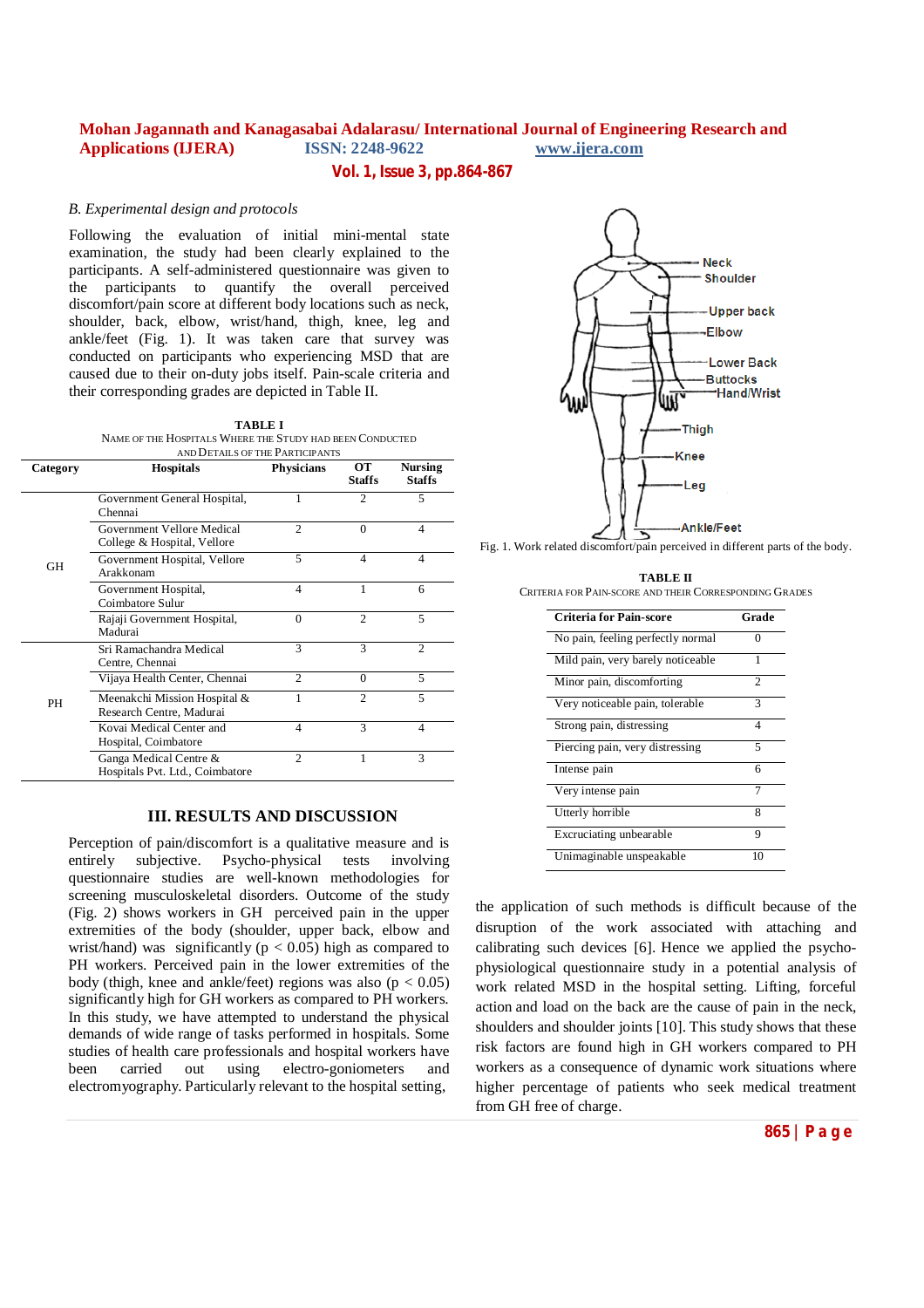## **Vol. 1, Issue 3, pp.864-867**

#### *B. Experimental design and protocols*

Following the evaluation of initial mini-mental state examination, the study had been clearly explained to the participants. A self-administered questionnaire was given to the participants to quantify the overall perceived discomfort/pain score at different body locations such as neck, shoulder, back, elbow, wrist/hand, thigh, knee, leg and ankle/feet (Fig. 1). It was taken care that survey was conducted on participants who experiencing MSD that are caused due to their on-duty jobs itself. Pain-scale criteria and their corresponding grades are depicted in Table II.

| TABLE I                                                  |
|----------------------------------------------------------|
| NAME OF THE HOSPITALS WHERE THE STUDY HAD BEEN CONDUCTED |
| AND DETAILS OF THE DADTIONANTS                           |

|           | AND DETAILS OF THE PARTICIPANTS                           |                   |                     |                                 |  |
|-----------|-----------------------------------------------------------|-------------------|---------------------|---------------------------------|--|
| Category  | <b>Hospitals</b>                                          | <b>Physicians</b> | OТ<br><b>Staffs</b> | <b>Nursing</b><br><b>Staffs</b> |  |
| GH        | Government General Hospital,<br>Chennai                   | ı                 | $\overline{c}$      | 5                               |  |
|           | Government Vellore Medical<br>College & Hospital, Vellore | $\overline{c}$    | $\Omega$            | $\overline{4}$                  |  |
|           | Government Hospital, Vellore<br>Arakkonam                 | 5                 | 4                   | $\overline{4}$                  |  |
|           | Government Hospital,<br>Coimbatore Sulur                  | 4                 | 1                   | 6                               |  |
|           | Rajaji Government Hospital,<br>Madurai                    | $\theta$          | $\overline{c}$      | 5                               |  |
| <b>PH</b> | Sri Ramachandra Medical<br>Centre, Chennai                | 3                 | $\mathbf{3}$        | $\mathfrak{D}$                  |  |
|           | Vijaya Health Center, Chennai                             | $\mathfrak{D}$    | $\Omega$            | $\overline{5}$                  |  |
|           | Meenakchi Mission Hospital &<br>Research Centre, Madurai  | 1                 | $\overline{c}$      | 5                               |  |
|           | Kovai Medical Center and<br>Hospital, Coimbatore          | 4                 | 3                   | $\overline{4}$                  |  |
|           | Ganga Medical Centre &<br>Hospitals Pvt. Ltd., Coimbatore | $\overline{c}$    |                     | 3                               |  |

### **III. RESULTS AND DISCUSSION**

Perception of pain/discomfort is a qualitative measure and is entirely subjective. Psycho-physical tests involving questionnaire studies are well-known methodologies for screening musculoskeletal disorders. Outcome of the study (Fig. 2) shows workers in GH perceived pain in the upper extremities of the body (shoulder, upper back, elbow and wrist/hand) was significantly ( $p < 0.05$ ) high as compared to PH workers. Perceived pain in the lower extremities of the body (thigh, knee and ankle/feet) regions was also  $(p < 0.05)$ significantly high for GH workers as compared to PH workers. In this study, we have attempted to understand the physical demands of wide range of tasks performed in hospitals. Some studies of health care professionals and hospital workers have been carried out using electro-goniometers and electromyography. Particularly relevant to the hospital setting,



Fig. 1. Work related discomfort/pain perceived in different parts of the body.

| <b>TABLE II</b>                                        |
|--------------------------------------------------------|
| CRITERIA FOR PAIN-SCORE AND THEIR CORRESPONDING GRADES |

| <b>Criteria for Pain-score</b>    | Grade |
|-----------------------------------|-------|
| No pain, feeling perfectly normal | 0     |
| Mild pain, very barely noticeable |       |
| Minor pain, discomforting         | 2     |
| Very noticeable pain, tolerable   | 3     |
| Strong pain, distressing          | 4     |
| Piercing pain, very distressing   | 5     |
| Intense pain                      | 6     |
| Very intense pain                 |       |
| Utterly horrible                  | 8     |
| Excruciating unbearable           | 9     |
| Unimaginable unspeakable          | 10    |

the application of such methods is difficult because of the disruption of the work associated with attaching and calibrating such devices [6]. Hence we applied the psychophysiological questionnaire study in a potential analysis of work related MSD in the hospital setting. Lifting, forceful action and load on the back are the cause of pain in the neck, shoulders and shoulder joints [10]. This study shows that these risk factors are found high in GH workers compared to PH workers as a consequence of dynamic work situations where higher percentage of patients who seek medical treatment from GH free of charge.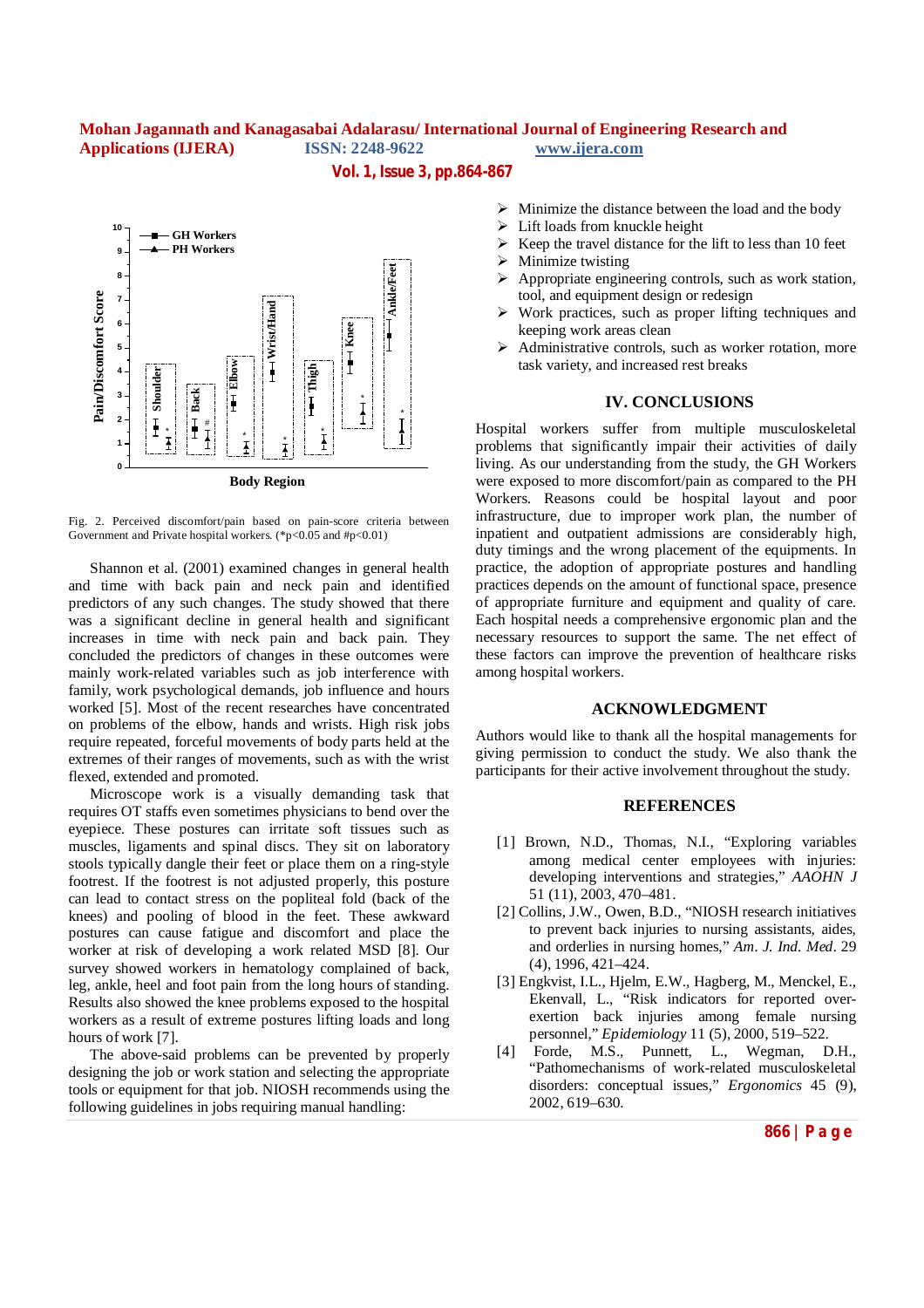**Vol. 1, Issue 3, pp.864-867**



Fig. 2. Perceived discomfort/pain based on pain-score criteria between Government and Private hospital workers. (\*p<0.05 and #p<0.01)

Shannon et al. (2001) examined changes in general health and time with back pain and neck pain and identified predictors of any such changes. The study showed that there was a significant decline in general health and significant increases in time with neck pain and back pain. They concluded the predictors of changes in these outcomes were mainly work-related variables such as job interference with family, work psychological demands, job influence and hours worked [5]. Most of the recent researches have concentrated on problems of the elbow, hands and wrists. High risk jobs require repeated, forceful movements of body parts held at the extremes of their ranges of movements, such as with the wrist flexed, extended and promoted.

Microscope work is a visually demanding task that requires OT staffs even sometimes physicians to bend over the eyepiece. These postures can irritate soft tissues such as muscles, ligaments and spinal discs. They sit on laboratory stools typically dangle their feet or place them on a ring-style footrest. If the footrest is not adjusted properly, this posture can lead to contact stress on the popliteal fold (back of the knees) and pooling of blood in the feet. These awkward postures can cause fatigue and discomfort and place the worker at risk of developing a work related MSD [8]. Our survey showed workers in hematology complained of back, leg, ankle, heel and foot pain from the long hours of standing. Results also showed the knee problems exposed to the hospital workers as a result of extreme postures lifting loads and long hours of work [7].

The above-said problems can be prevented by properly designing the job or work station and selecting the appropriate tools or equipment for that job. NIOSH recommends using the following guidelines in jobs requiring manual handling:

- $\triangleright$  Minimize the distance between the load and the body
- $\triangleright$  Lift loads from knuckle height
- $\triangleright$  Keep the travel distance for the lift to less than 10 feet
- Minimize twisting
- $\triangleright$  Appropriate engineering controls, such as work station, tool, and equipment design or redesign
- $\triangleright$  Work practices, such as proper lifting techniques and keeping work areas clean
- Administrative controls, such as worker rotation, more task variety, and increased rest breaks

# **IV. CONCLUSIONS**

Hospital workers suffer from multiple musculoskeletal problems that significantly impair their activities of daily living. As our understanding from the study, the GH Workers were exposed to more discomfort/pain as compared to the PH Workers. Reasons could be hospital layout and poor infrastructure, due to improper work plan, the number of inpatient and outpatient admissions are considerably high, duty timings and the wrong placement of the equipments. In practice, the adoption of appropriate postures and handling practices depends on the amount of functional space, presence of appropriate furniture and equipment and quality of care. Each hospital needs a comprehensive ergonomic plan and the necessary resources to support the same. The net effect of these factors can improve the prevention of healthcare risks among hospital workers.

## **ACKNOWLEDGMENT**

Authors would like to thank all the hospital managements for giving permission to conduct the study. We also thank the participants for their active involvement throughout the study.

#### **REFERENCES**

- [1] Brown, N.D., Thomas, N.I., "Exploring variables among medical center employees with injuries: developing interventions and strategies," *AAOHN J* 51 (11), 2003, 470–481.
- [2] Collins, J.W., Owen, B.D., "NIOSH research initiatives to prevent back injuries to nursing assistants, aides, and orderlies in nursing homes," *Am. J. Ind. Med.* 29 (4), 1996, 421–424.
- [3] Engkvist, I.L., Hjelm, E.W., Hagberg, M., Menckel, E., Ekenvall, L., "Risk indicators for reported overexertion back injuries among female nursing personnel," *Epidemiology* 11 (5), 2000, 519–522.
- [4] Forde, M.S., Punnett, L., Wegman, D.H., "Pathomechanisms of work-related musculoskeletal disorders: conceptual issues," *Ergonomics* 45 (9), 2002, 619–630.